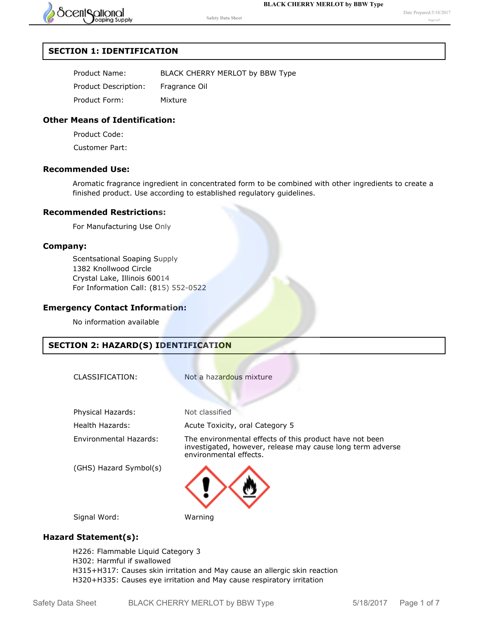

## **SECTION 1: IDENTIFICATION**

| Product Name:        | BLACK CHERRY MERLOT by BBW Type |
|----------------------|---------------------------------|
| Product Description: | Fragrance Oil                   |
| Product Form:        | Mixture                         |

## **Other Means of Identification:**

Product Code:

Customer Part:

## **Recommended Use:**

Aromatic fragrance ingredient in concentrated form to be combined with other ingredients to create a finished product. Use according to established regulatory guidelines.

### **Recommended Restrictions:**

For Manufacturing Use Only

### **Company:**

Scentsational Soaping Supply 1382 Knollwood Circle Crystal Lake, Illinois 60014 For Information Call: (815) 552-0522

## **Emergency Contact Information:**

No information available

## **SECTION 2: HAZARD(S) IDENTIFICATION**

Not a hazardous mixture

Physical Hazards: Not classified

Health Hazards: Acute Toxicity, oral Category 5

(GHS) Hazard Symbol(s)

Environmental Hazards: The environmental effects of this product have not been investigated, however, release may cause long term adverse environmental effects.



Signal Word: Warning

## **Hazard Statement(s):**

H226: Flammable Liquid Category 3 H302: Harmful if swallowed H315+H317: Causes skin irritation and May cause an allergic skin reaction H320+H335: Causes eye irritation and May cause respiratory irritation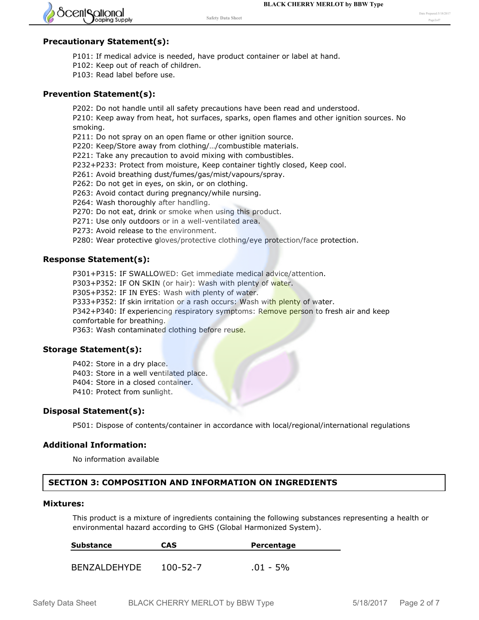

### **Precautionary Statement(s):**

- P101: If medical advice is needed, have product container or label at hand.
- P102: Keep out of reach of children.
- P103: Read label before use.

#### **Prevention Statement(s):**

P202: Do not handle until all safety precautions have been read and understood. P210: Keep away from heat, hot surfaces, sparks, open flames and other ignition sources. No smoking.

P211: Do not spray on an open flame or other ignition source.

P220: Keep/Store away from clothing/…/combustible materials.

P221: Take any precaution to avoid mixing with combustibles.

P232+P233: Protect from moisture, Keep container tightly closed, Keep cool.

P261: Avoid breathing dust/fumes/gas/mist/vapours/spray.

P262: Do not get in eyes, on skin, or on clothing.

P263: Avoid contact during pregnancy/while nursing.

P264: Wash thoroughly after handling.

P270: Do not eat, drink or smoke when using this product.

P271: Use only outdoors or in a well-ventilated area.

P273: Avoid release to the environment.

P280: Wear protective gloves/protective clothing/eye protection/face protection.

#### **Response Statement(s):**

P301+P315: IF SWALLOWED: Get immediate medical advice/attention.

P303+P352: IF ON SKIN (or hair): Wash with plenty of water.

P305+P352: IF IN EYES: Wash with plenty of water.

P333+P352: If skin irritation or a rash occurs: Wash with plenty of water.

P342+P340: If experiencing respiratory symptoms: Remove person to fresh air and keep comfortable for breathing.

P363: Wash contaminated clothing before reuse.

### **Storage Statement(s):**

P402: Store in a dry place.

P403: Store in a well ventilated place.

P404: Store in a closed container.

P410: Protect from sunlight.

#### **Disposal Statement(s):**

P501: Dispose of contents/container in accordance with local/regional/international regulations

#### **Additional Information:**

No information available

## **SECTION 3: COMPOSITION AND INFORMATION ON INGREDIENTS**

#### **Mixtures:**

This product is a mixture of ingredients containing the following substances representing a health or environmental hazard according to GHS (Global Harmonized System).

| <b>Substance</b> | <b>CAS</b>     | Percentage  |  |
|------------------|----------------|-------------|--|
|                  |                |             |  |
| BENZALDEHYDE     | $100 - 52 - 7$ | $.01 - 5\%$ |  |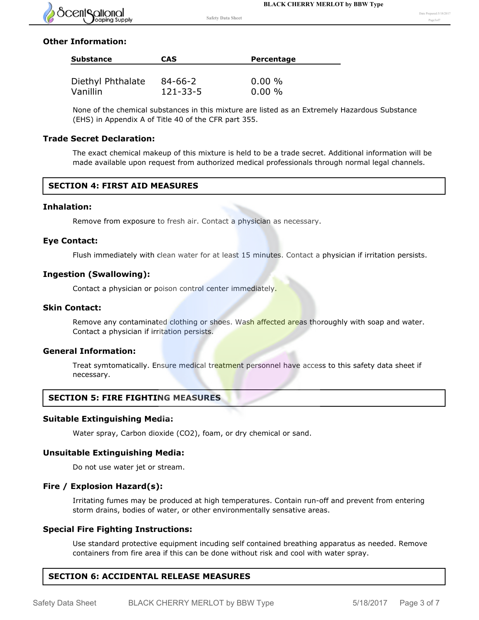

## **Other Information:**

| <b>CAS</b> | <b>Percentage</b>         |
|------------|---------------------------|
|            |                           |
|            | $0.00 \%$<br>$0.00 \%$    |
|            | $84 - 66 - 2$<br>121-33-5 |

None of the chemical substances in this mixture are listed as an Extremely Hazardous Substance (EHS) in Appendix A of Title 40 of the CFR part 355.

### **Trade Secret Declaration:**

The exact chemical makeup of this mixture is held to be a trade secret. Additional information will be made available upon request from authorized medical professionals through normal legal channels.

## **SECTION 4: FIRST AID MEASURES**

## **Inhalation:**

Remove from exposure to fresh air. Contact a physician as necessary.

#### **Eye Contact:**

Flush immediately with clean water for at least 15 minutes. Contact a physician if irritation persists.

#### **Ingestion (Swallowing):**

Contact a physician or poison control center immediately.

#### **Skin Contact:**

Remove any contaminated clothing or shoes. Wash affected areas thoroughly with soap and water. Contact a physician if irritation persists.

### **General Information:**

Treat symtomatically. Ensure medical treatment personnel have access to this safety data sheet if necessary.

## **SECTION 5: FIRE FIGHTING MEASURES**

### **Suitable Extinguishing Media:**

Water spray, Carbon dioxide (CO2), foam, or dry chemical or sand.

#### **Unsuitable Extinguishing Media:**

Do not use water jet or stream.

### **Fire / Explosion Hazard(s):**

Irritating fumes may be produced at high temperatures. Contain run-off and prevent from entering storm drains, bodies of water, or other environmentally sensative areas.

### **Special Fire Fighting Instructions:**

Use standard protective equipment incuding self contained breathing apparatus as needed. Remove containers from fire area if this can be done without risk and cool with water spray.

## **SECTION 6: ACCIDENTAL RELEASE MEASURES**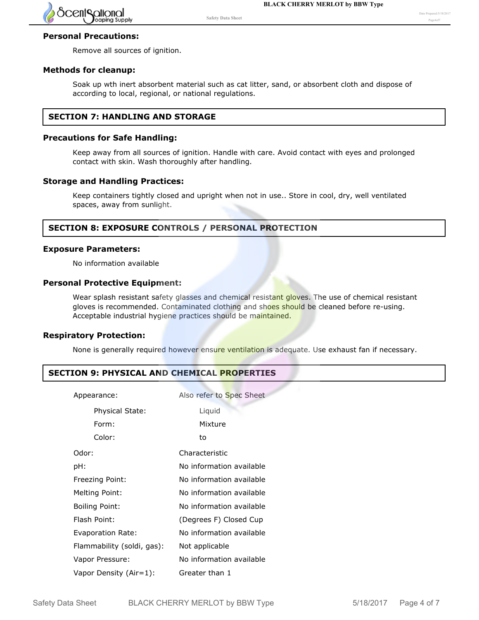

## **Personal Precautions:**

Remove all sources of ignition.

### **Methods for cleanup:**

Soak up wth inert absorbent material such as cat litter, sand, or absorbent cloth and dispose of according to local, regional, or national regulations.

## **SECTION 7: HANDLING AND STORAGE**

#### **Precautions for Safe Handling:**

Keep away from all sources of ignition. Handle with care. Avoid contact with eyes and prolonged contact with skin. Wash thoroughly after handling.

### **Storage and Handling Practices:**

Keep containers tightly closed and upright when not in use.. Store in cool, dry, well ventilated spaces, away from sunlight.

## **SECTION 8: EXPOSURE CONTROLS / PERSONAL PROTECTION**

#### **Exposure Parameters:**

No information available

### **Personal Protective Equipment:**

Wear splash resistant safety glasses and chemical resistant gloves. The use of chemical resistant gloves is recommended. Contaminated clothing and shoes should be cleaned before re-using. Acceptable industrial hygiene practices should be maintained.

## **Respiratory Protection:**

None is generally required however ensure ventilation is adequate. Use exhaust fan if necessary.

## **SECTION 9: PHYSICAL AND CHEMICAL PROPERTIES**

| Appearance:                | Also refer to Spec Sheet |
|----------------------------|--------------------------|
| Physical State:            | Liquid                   |
| Form:                      | Mixture                  |
| Color:                     | to                       |
| Odor:                      | Characteristic           |
| pH:                        | No information available |
| Freezing Point:            | No information available |
| Melting Point:             | No information available |
| <b>Boiling Point:</b>      | No information available |
| Flash Point:               | (Degrees F) Closed Cup   |
| Evaporation Rate:          | No information available |
| Flammability (soldi, gas): | Not applicable           |
| Vapor Pressure:            | No information available |
| Vapor Density (Air=1):     | Greater than 1           |

Relative Density: No information available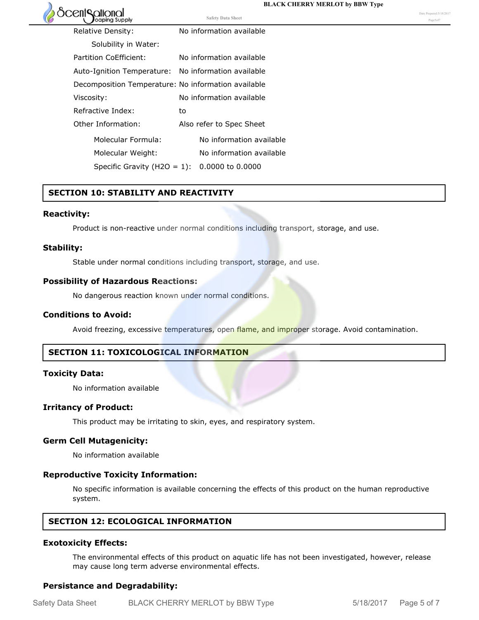

## Relative Density: No information available Solubility in Water: Partition CoEfficient: No information available Auto-Ignition Temperature: No information available Decomposition Temperature: No information available Viscosity: No information available Refractive Index: to Other Information: Also refer to Spec Sheet **Safety Data Sheet** Date Prepared:5/18/2017 Page5of7

**SECTION 10: STABILITY AND REACTIVITY**

### **Reactivity:**

Product is non-reactive under normal conditions including transport, storage, and use.

#### **Stability:**

Stable under normal conditions including transport, storage, and use.

Molecular Formula: No information available Molecular Weight: No information available

Specific Gravity (H2O = 1): 0.0000 to 0.0000

#### **Possibility of Hazardous Reactions:**

No dangerous reaction known under normal conditions.

#### **Conditions to Avoid:**

Avoid freezing, excessive temperatures, open flame, and improper storage. Avoid contamination.

### **SECTION 11: TOXICOLOGICAL INFORMATION**

#### **Toxicity Data:**

No information available

#### **Irritancy of Product:**

This product may be irritating to skin, eyes, and respiratory system.

### **Germ Cell Mutagenicity:**

No information available

#### **Reproductive Toxicity Information:**

No specific information is available concerning the effects of this product on the human reproductive system.

## **SECTION 12: ECOLOGICAL INFORMATION**

#### **Exotoxicity Effects:**

The environmental effects of this product on aquatic life has not been investigated, however, release may cause long term adverse environmental effects.

#### **Persistance and Degradability:**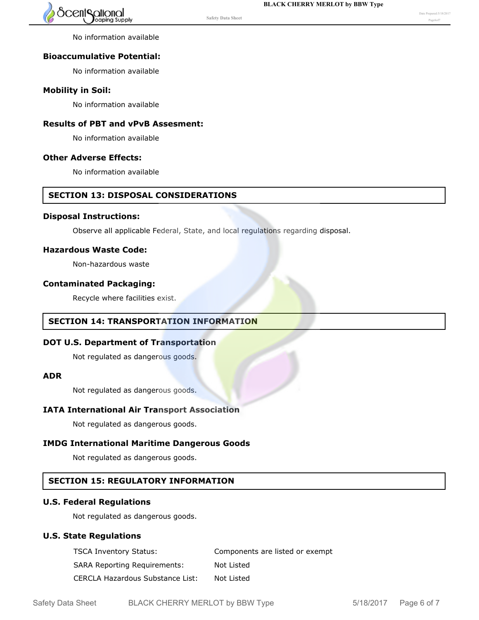

No information available

# **Bioaccumulative Potential:**

No information available

# **Mobility in Soil:**

No information available

## **Results of PBT and vPvB Assesment:**

No information available

# **Other Adverse Effects:**

No information available

# **SECTION 13: DISPOSAL CONSIDERATIONS**

## **Disposal Instructions:**

Observe all applicable Federal, State, and local regulations regarding disposal.

**Safety Data Sheet**

# **Hazardous Waste Code:**

Non-hazardous waste

# **Contaminated Packaging:**

Recycle where facilities exist.

# **SECTION 14: TRANSPORTATION INFORMATION**

# **DOT U.S. Department of Transportation**

Not regulated as dangerous goods.

## **ADR**

Not regulated as dangerous goods.

# **IATA International Air Transport Association**

Not regulated as dangerous goods.

# **IMDG International Maritime Dangerous Goods**

Not regulated as dangerous goods.

# **SECTION 15: REGULATORY INFORMATION**

# **U.S. Federal Regulations**

Not regulated as dangerous goods.

# **U.S. State Regulations**

| <b>TSCA Inventory Status:</b>       | Components are listed or exempt |
|-------------------------------------|---------------------------------|
| <b>SARA Reporting Requirements:</b> | Not Listed                      |
| CERCLA Hazardous Substance List:    | Not Listed                      |